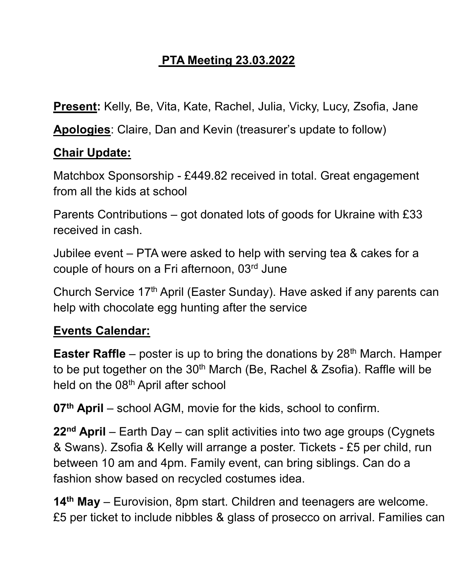## **PTA Meeting 23.03.2022**

**Present:** Kelly, Be, Vita, Kate, Rachel, Julia, Vicky, Lucy, Zsofia, Jane

**Apologies**: Claire, Dan and Kevin (treasurer's update to follow)

## **Chair Update:**

Matchbox Sponsorship - £449.82 received in total. Great engagement from all the kids at school

Parents Contributions – got donated lots of goods for Ukraine with £33 received in cash.

Jubilee event – PTA were asked to help with serving tea & cakes for a couple of hours on a Fri afternoon, 03rd June

Church Service 17<sup>th</sup> April (Easter Sunday). Have asked if any parents can help with chocolate egg hunting after the service

## **Events Calendar:**

**Easter Raffle** – poster is up to bring the donations by 28<sup>th</sup> March. Hamper to be put together on the  $30<sup>th</sup>$  March (Be, Rachel & Zsofia). Raffle will be held on the 08<sup>th</sup> April after school

**07th April** – school AGM, movie for the kids, school to confirm.

**22nd April** – Earth Day – can split activities into two age groups (Cygnets & Swans). Zsofia & Kelly will arrange a poster. Tickets - £5 per child, run between 10 am and 4pm. Family event, can bring siblings. Can do a fashion show based on recycled costumes idea.

**14th May** – Eurovision, 8pm start. Children and teenagers are welcome. £5 per ticket to include nibbles & glass of prosecco on arrival. Families can